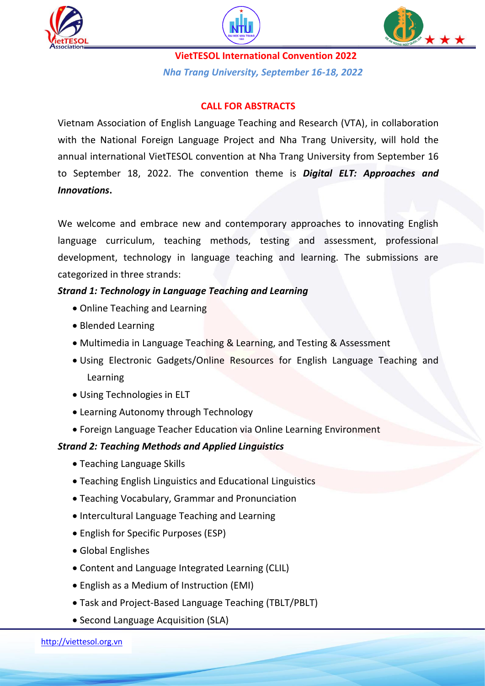





**VietTESOL International Convention 2022** *Nha Trang University, September 16-18, 2022*

### **CALL FOR ABSTRACTS**

Vietnam Association of English Language Teaching and Research (VTA), in collaboration with the National Foreign Language Project and Nha Trang University, will hold the annual international VietTESOL convention at Nha Trang University from September 16 to September 18, 2022. The convention theme is *Digital ELT: Approaches and Innovations***.**

We welcome and embrace new and contemporary approaches to innovating English language curriculum, teaching methods, testing and assessment, professional development, technology in language teaching and learning. The submissions are categorized in three strands:

### *Strand 1: Technology in Language Teaching and Learning*

- Online Teaching and Learning
- Blended Learning
- Multimedia in Language Teaching & Learning, and Testing & Assessment
- Using Electronic Gadgets/Online Resources for English Language Teaching and Learning
- Using Technologies in ELT
- Learning Autonomy through Technology
- Foreign Language Teacher Education via Online Learning Environment

#### *Strand 2: Teaching Methods and Applied Linguistics*

- Teaching Language Skills
- Teaching English Linguistics and Educational Linguistics
- Teaching Vocabulary, Grammar and Pronunciation
- Intercultural Language Teaching and Learning
- English for Specific Purposes (ESP)
- Global Englishes
- Content and Language Integrated Learning (CLIL)
- English as a Medium of Instruction (EMI)
- Task and Project-Based Language Teaching (TBLT/PBLT)
- Second Language Acquisition (SLA)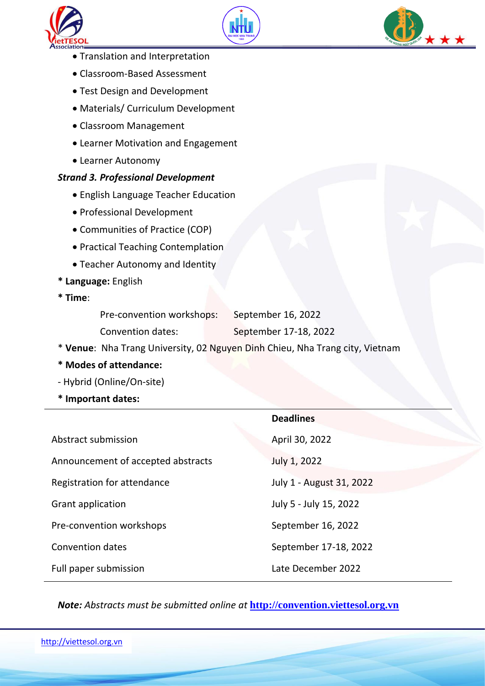





- Translation and Interpretation
- Classroom-Based Assessment
- Test Design and Development
- Materials/ Curriculum Development
- Classroom Management
- Learner Motivation and Engagement
- Learner Autonomy

#### *Strand 3. Professional Development*

- English Language Teacher Education
- Professional Development
- Communities of Practice (COP)
- Practical Teaching Contemplation
- Teacher Autonomy and Identity
- **\* Language:** English
- **\* Time**:

| Pre-convention workshops: | September 16, 2022    |
|---------------------------|-----------------------|
| Convention dates:         | September 17-18, 2022 |

- \* **Venue**: Nha Trang University, 02 Nguyen Dinh Chieu, Nha Trang city, Vietnam
- **\* Modes of attendance:**
- Hybrid (Online/On-site)
- **\* Important dates:**

|                                    | <b>Deadlines</b>         |
|------------------------------------|--------------------------|
| Abstract submission                | April 30, 2022           |
| Announcement of accepted abstracts | July 1, 2022             |
| Registration for attendance        | July 1 - August 31, 2022 |
| Grant application                  | July 5 - July 15, 2022   |
| Pre-convention workshops           | September 16, 2022       |
| <b>Convention dates</b>            | September 17-18, 2022    |
| Full paper submission              | Late December 2022       |

*Note: Abstracts must be submitted online at* **[http://convention.viettesol.org.vn](http://convention.viettesol.org.vn/)**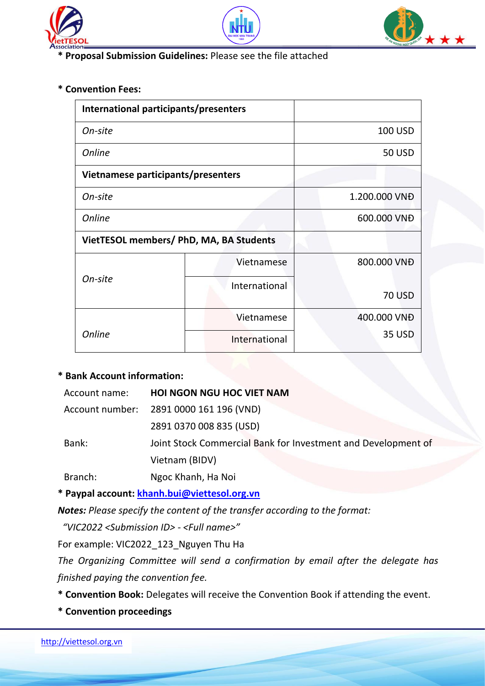





**\* Proposal Submission Guidelines:** Please see the file attached

### **\* Convention Fees:**

| International participants/presenters   |               |                |
|-----------------------------------------|---------------|----------------|
| On-site                                 |               | <b>100 USD</b> |
| <b>Online</b>                           |               | <b>50 USD</b>  |
| Vietnamese participants/presenters      |               |                |
| On-site                                 |               | 1.200.000 VNĐ  |
| <b>Online</b>                           |               | 600.000 VNĐ    |
| VietTESOL members/ PhD, MA, BA Students |               |                |
| On-site                                 | Vietnamese    | 800.000 VNĐ    |
|                                         | International | <b>70 USD</b>  |
| <b>Online</b>                           | Vietnamese    | 400.000 VNĐ    |
|                                         | International | <b>35 USD</b>  |

### **\* Bank Account information:**

| Account name:   | <b>HOI NGON NGU HOC VIET NAM</b>                              |
|-----------------|---------------------------------------------------------------|
| Account number: | 2891 0000 161 196 (VND)                                       |
|                 | 2891 0370 008 835 (USD)                                       |
| Bank:           | Joint Stock Commercial Bank for Investment and Development of |
|                 | Vietnam (BIDV)                                                |
| Branch:         | Ngoc Khanh, Ha Noi                                            |

**\* Paypal account: [khanh.bui@viettesol.org.vn](mailto:khanh.bui@viettesol.org.vn)**

*Notes: Please specify the content of the transfer according to the format:*

 *"VIC2022 <Submission ID> - <Full name>"*

For example: VIC2022\_123\_Nguyen Thu Ha

*The Organizing Committee will send a confirmation by email after the delegate has finished paying the convention fee.*

- **\* Convention Book:** Delegates will receive the Convention Book if attending the event.
- **\* Convention proceedings**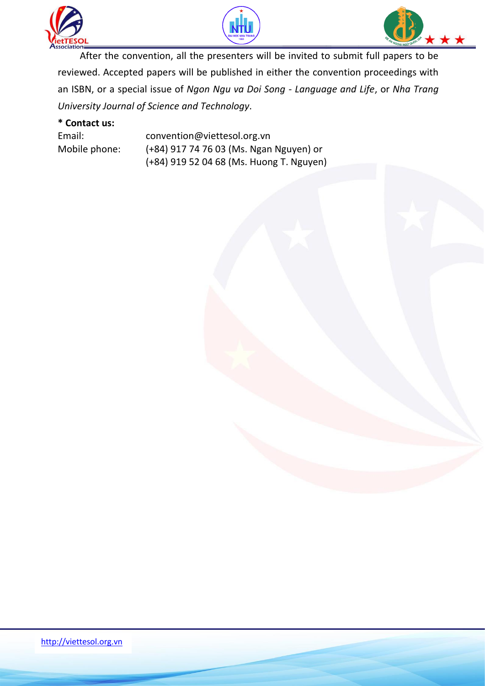





After the convention, all the presenters will be invited to submit full papers to be reviewed. Accepted papers will be published in either the convention proceedings with an ISBN, or a special issue of *Ngon Ngu va Doi Song - Language and Life*, or *Nha Trang University Journal of Science and Technology*.

### **\* Contact us:**

| Email:        | convention@viettesol.org.vn              |
|---------------|------------------------------------------|
| Mobile phone: | (+84) 917 74 76 03 (Ms. Ngan Nguyen) or  |
|               | (+84) 919 52 04 68 (Ms. Huong T. Nguyen) |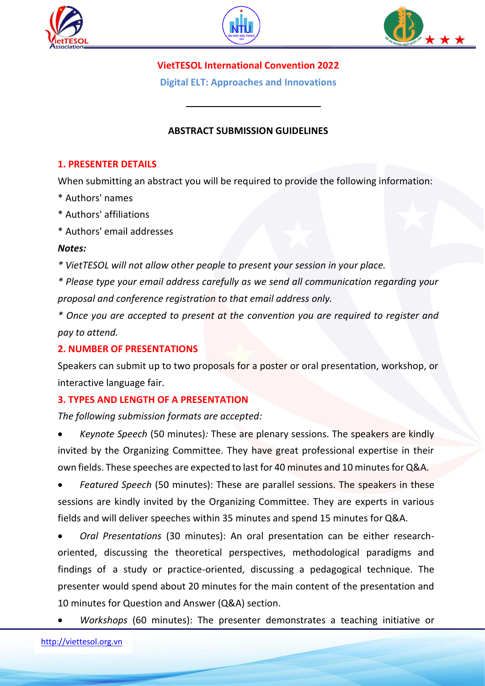





**VietTESOL International Convention 2022**

**Digital ELT: Approaches and Innovations**

## **ABSTRACT SUBMISSION GUIDELINES**

### **1. PRESENTER DETAILS**

When submitting an abstract you will be required to provide the following information:

- \* Authors' names
- \* Authors' affiliations
- \* Authors' email addresses

#### *Notes:*

*\* VietTESOL will not allow other people to present your session in your place.* 

*\* Please type your email address carefully as we send all communication regarding your proposal and conference registration to that email address only.*

*\* Once you are accepted to present at the convention you are required to register and pay to attend.*

### **2. NUMBER OF PRESENTATIONS**

Speakers can submit up to two proposals for a poster or oral presentation, workshop, or interactive language fair.

### **3. TYPES AND LENGTH OF A PRESENTATION**

*The following submission formats are accepted:*

 *Keynote Speech* (50 minutes)*:* These are plenary sessions. The speakers are kindly invited by the Organizing Committee. They have great professional expertise in their own fields. These speeches are expected to last for 40 minutes and 10 minutesfor Q&A.

 *Featured Speech* (50 minutes): These are parallel sessions. The speakers in these sessions are kindly invited by the Organizing Committee. They are experts in various fields and will deliver speeches within 35 minutes and spend 15 minutes for Q&A.

 *Oral Presentations* (30 minutes): An oral presentation can be either researchoriented, discussing the theoretical perspectives, methodological paradigms and findings of a study or practice-oriented, discussing a pedagogical technique. The presenter would spend about 20 minutes for the main content of the presentation and 10 minutes for Question and Answer (Q&A) section.

*Workshops* (60 minutes): The presenter demonstrates a teaching initiative or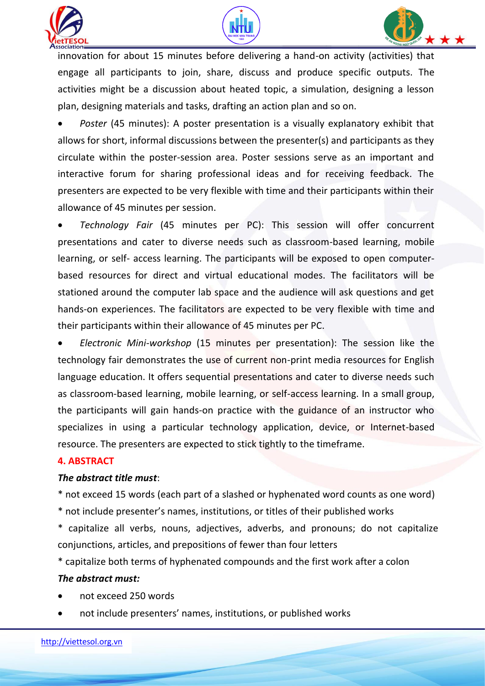





innovation for about 15 minutes before delivering a hand-on activity (activities) that engage all participants to join, share, discuss and produce specific outputs. The activities might be a discussion about heated topic, a simulation, designing a lesson plan, designing materials and tasks, drafting an action plan and so on.

 *Poster* (45 minutes): A poster presentation is a visually explanatory exhibit that allows for short, informal discussions between the presenter(s) and participants as they circulate within the poster-session area. Poster sessions serve as an important and interactive forum for sharing professional ideas and for receiving feedback. The presenters are expected to be very flexible with time and their participants within their allowance of 45 minutes per session.

 *Technology Fair* (45 minutes per PC): This session will offer concurrent presentations and cater to diverse needs such as classroom-based learning, mobile learning, or self- access learning. The participants will be exposed to open computerbased resources for direct and virtual educational modes. The facilitators will be stationed around the computer lab space and the audience will ask questions and get hands-on experiences. The facilitators are expected to be very flexible with time and their participants within their allowance of 45 minutes per PC.

 *Electronic Mini-workshop* (15 minutes per presentation): The session like the technology fair demonstrates the use of current non-print media resources for English language education. It offers sequential presentations and cater to diverse needs such as classroom-based learning, mobile learning, or self-access learning. In a small group, the participants will gain hands-on practice with the guidance of an instructor who specializes in using a particular technology application, device, or Internet-based resource. The presenters are expected to stick tightly to the timeframe.

#### **4. ABSTRACT**

#### *The abstract title must*:

\* not exceed 15 words (each part of a slashed or hyphenated word counts as one word)

\* not include presenter's names, institutions, or titles of their published works

\* capitalize all verbs, nouns, adjectives, adverbs, and pronouns; do not capitalize conjunctions, articles, and prepositions of fewer than four letters

\* capitalize both terms of hyphenated compounds and the first work after a colon

#### *The abstract must:*

- not exceed 250 words
- not include presenters' names, institutions, or published works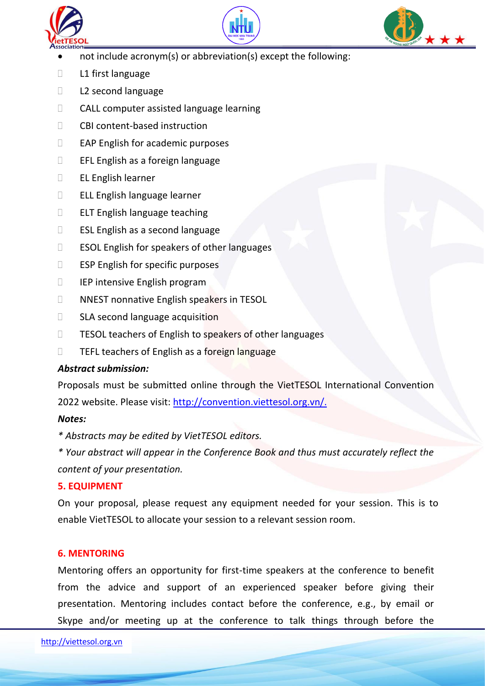





- not include acronym(s) or abbreviation(s) except the following:
- **L1** first language
- L2 second language
- CALL computer assisted language learning
- CBI content-based instruction
- $\Box$  EAP English for academic purposes
- EFL English as a foreign language
- EL English learner
- ELL English language learner
- **ELT English language teaching**
- ESL English as a second language
- **ESOL English for speakers of other languages**
- **ESP English for specific purposes**
- IEP intensive English program
- NNEST nonnative English speakers in TESOL
- SLA second language acquisition
- TESOL teachers of English to speakers of other languages
- **TEFL teachers of English as a foreign language**

### *Abstract submission:*

Proposals must be submitted online through the VietTESOL International Convention

2022 website. Please visit: [http://convention.viettesol.org.vn/.](http://convention.viettesol.org.vn/)

### *Notes:*

*\* Abstracts may be edited by VietTESOL editors.*

*\* Your abstract will appear in the Conference Book and thus must accurately reflect the content of your presentation.*

### **5. EQUIPMENT**

On your proposal, please request any equipment needed for your session. This is to enable VietTESOL to allocate your session to a relevant session room.

# **6. MENTORING**

Mentoring offers an opportunity for first-time speakers at the conference to benefit from the advice and support of an experienced speaker before giving their presentation. Mentoring includes contact before the conference, e.g., by email or Skype and/or meeting up at the conference to talk things through before the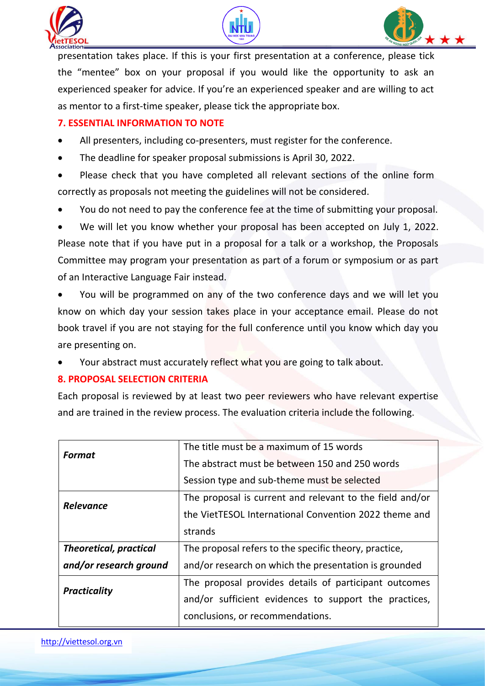





presentation takes place. If this is your first presentation at a conference, please tick the "mentee" box on your proposal if you would like the opportunity to ask an experienced speaker for advice. If you're an experienced speaker and are willing to act as mentor to a first-time speaker, please tick the appropriate box.

# **7. ESSENTIAL INFORMATION TO NOTE**

- All presenters, including co-presenters, must register for the conference.
- The deadline for speaker proposal submissions is April 30, 2022.
- Please check that you have completed all relevant sections of the online form correctly as proposals not meeting the guidelines will not be considered.
- You do not need to pay the conference fee at the time of submitting your proposal.

 We will let you know whether your proposal has been accepted on July 1, 2022. Please note that if you have put in a proposal for a talk or a workshop, the Proposals Committee may program your presentation as part of a forum or symposium or as part of an Interactive Language Fair instead.

 You will be programmed on any of the two conference days and we will let you know on which day your session takes place in your acceptance email. Please do not book travel if you are not staying for the full conference until you know which day you are presenting on.

Your abstract must accurately reflect what you are going to talk about.

### **8. PROPOSAL SELECTION CRITERIA**

Each proposal is reviewed by at least two peer reviewers who have relevant expertise and are trained in the review process. The evaluation criteria include the following.

| <b>Format</b>                 | The title must be a maximum of 15 words                  |
|-------------------------------|----------------------------------------------------------|
|                               | The abstract must be between 150 and 250 words           |
|                               | Session type and sub-theme must be selected              |
| <b>Relevance</b>              | The proposal is current and relevant to the field and/or |
|                               | the VietTESOL International Convention 2022 theme and    |
|                               | strands                                                  |
| <b>Theoretical, practical</b> | The proposal refers to the specific theory, practice,    |
| and/or research ground        | and/or research on which the presentation is grounded    |
| <b>Practicality</b>           | The proposal provides details of participant outcomes    |
|                               | and/or sufficient evidences to support the practices,    |
|                               | conclusions, or recommendations.                         |